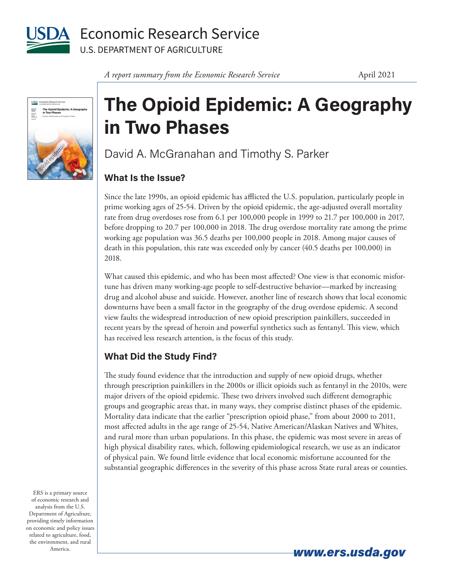

**Economic Research Service U.S. DEPARTMENT OF AGRICULTURE** 



## **The Opioid Epidemic: A Geography in Two Phases**

David A. McGranahan and Timothy S. Parker

## **What Is the Issue?**

Since the late 1990s, an opioid epidemic has afflicted the U.S. population, particularly people in prime working ages of 25-54. Driven by the opioid epidemic, the age-adjusted overall mortality rate from drug overdoses rose from 6.1 per 100,000 people in 1999 to 21.7 per 100,000 in 2017, before dropping to 20.7 per 100,000 in 2018. The drug overdose mortality rate among the prime working age population was 36.5 deaths per 100,000 people in 2018. Among major causes of death in this population, this rate was exceeded only by cancer (40.5 deaths per 100,000) in 2018.

What caused this epidemic, and who has been most affected? One view is that economic misfortune has driven many working-age people to self-destructive behavior—marked by increasing drug and alcohol abuse and suicide. However, another line of research shows that local economic downturns have been a small factor in the geography of the drug overdose epidemic. A second view faults the widespread introduction of new opioid prescription painkillers, succeeded in recent years by the spread of heroin and powerful synthetics such as fentanyl. This view, which has received less research attention, is the focus of this study.

## **What Did the Study Find?**

The study found evidence that the introduction and supply of new opioid drugs, whether through prescription painkillers in the 2000s or illicit opioids such as fentanyl in the 2010s, were major drivers of the opioid epidemic. These two drivers involved such different demographic groups and geographic areas that, in many ways, they comprise distinct phases of the epidemic. Mortality data indicate that the earlier "prescription opioid phase," from about 2000 to 2011, most affected adults in the age range of 25-54, Native American/Alaskan Natives and Whites, and rural more than urban populations. In this phase, the epidemic was most severe in areas of high physical disability rates, which, following epidemiological research, we use as an indicator of physical pain. We found little evidence that local economic misfortune accounted for the substantial geographic differences in the severity of this phase across State rural areas or counties.

ERS is a primary source of economic research and analysis from the U.S. Department of Agriculture, providing timely information on economic and policy issues related to agriculture, food, the environment, and rural America.

*www.ers.usda.gov*